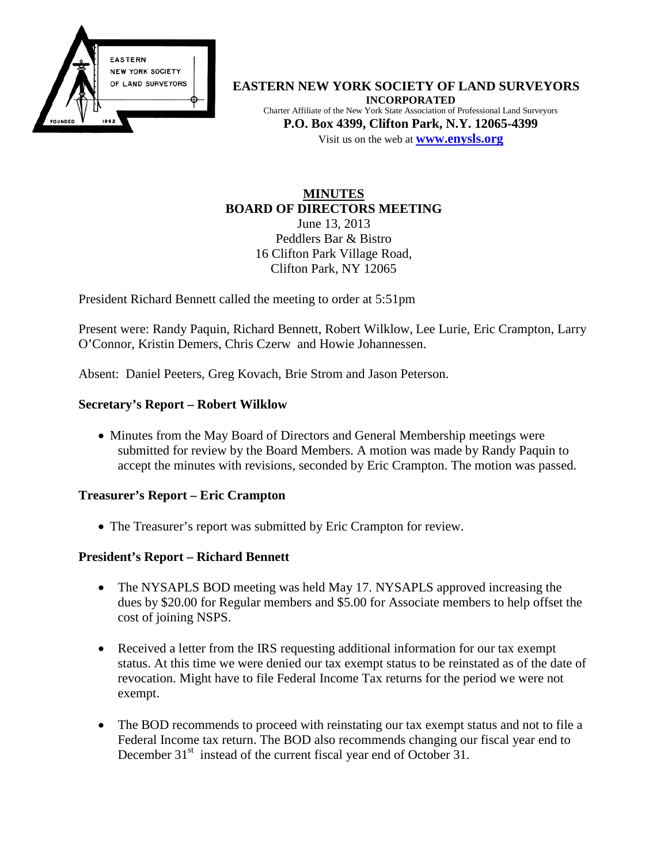

**EASTERN NEW YORK SOCIETY OF LAND SURVEYORS INCORPORATED** Charter Affiliate of the New York State Association of Professional Land Surveyors **P.O. Box 4399, Clifton Park, N.Y. 12065-4399** Visit us on the web at **[www.e](http://www.enysls.org/)nysls.org**

### **MINUTES BOARD OF DIRECTORS MEETING** June 13, 2013 Peddlers Bar & Bistro 16 Clifton Park Village Road,

Clifton Park, NY 12065

President Richard Bennett called the meeting to order at 5:51pm

Present were: Randy Paquin, Richard Bennett, Robert Wilklow, Lee Lurie, Eric Crampton, Larry O'Connor, Kristin Demers, Chris Czerw and Howie Johannessen.

Absent: Daniel Peeters, Greg Kovach, Brie Strom and Jason Peterson.

### **Secretary's Report – Robert Wilklow**

• Minutes from the May Board of Directors and General Membership meetings were submitted for review by the Board Members. A motion was made by Randy Paquin to accept the minutes with revisions, seconded by Eric Crampton. The motion was passed.

### **Treasurer's Report – Eric Crampton**

• The Treasurer's report was submitted by Eric Crampton for review.

## **President's Report – Richard Bennett**

- The NYSAPLS BOD meeting was held May 17. NYSAPLS approved increasing the dues by \$20.00 for Regular members and \$5.00 for Associate members to help offset the cost of joining NSPS.
- Received a letter from the IRS requesting additional information for our tax exempt status. At this time we were denied our tax exempt status to be reinstated as of the date of revocation. Might have to file Federal Income Tax returns for the period we were not exempt.
- The BOD recommends to proceed with reinstating our tax exempt status and not to file a Federal Income tax return. The BOD also recommends changing our fiscal year end to December 31<sup>st</sup> instead of the current fiscal year end of October 31.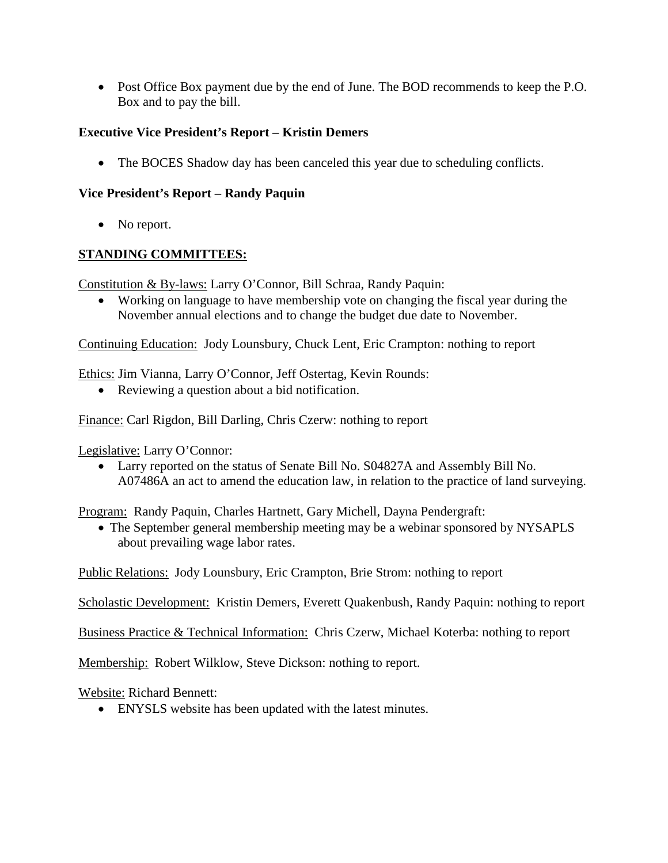• Post Office Box payment due by the end of June. The BOD recommends to keep the P.O. Box and to pay the bill.

# **Executive Vice President's Report – Kristin Demers**

• The BOCES Shadow day has been canceled this year due to scheduling conflicts.

## **Vice President's Report – Randy Paquin**

• No report.

## **STANDING COMMITTEES:**

Constitution & By-laws: Larry O'Connor, Bill Schraa, Randy Paquin:

• Working on language to have membership vote on changing the fiscal year during the November annual elections and to change the budget due date to November.

Continuing Education: Jody Lounsbury, Chuck Lent, Eric Crampton: nothing to report

Ethics: Jim Vianna, Larry O'Connor, Jeff Ostertag, Kevin Rounds:

• Reviewing a question about a bid notification.

Finance: Carl Rigdon, Bill Darling, Chris Czerw: nothing to report

Legislative: Larry O'Connor:

• Larry reported on the status of Senate Bill No. S04827A and Assembly Bill No. A07486A an act to amend the education law, in relation to the practice of land surveying.

Program: Randy Paquin, Charles Hartnett, Gary Michell, Dayna Pendergraft:

• The September general membership meeting may be a webinar sponsored by NYSAPLS about prevailing wage labor rates.

Public Relations: Jody Lounsbury, Eric Crampton, Brie Strom: nothing to report

Scholastic Development: Kristin Demers, Everett Quakenbush, Randy Paquin: nothing to report

Business Practice & Technical Information: Chris Czerw, Michael Koterba: nothing to report

Membership: Robert Wilklow, Steve Dickson: nothing to report.

Website: Richard Bennett:

• ENYSLS website has been updated with the latest minutes.